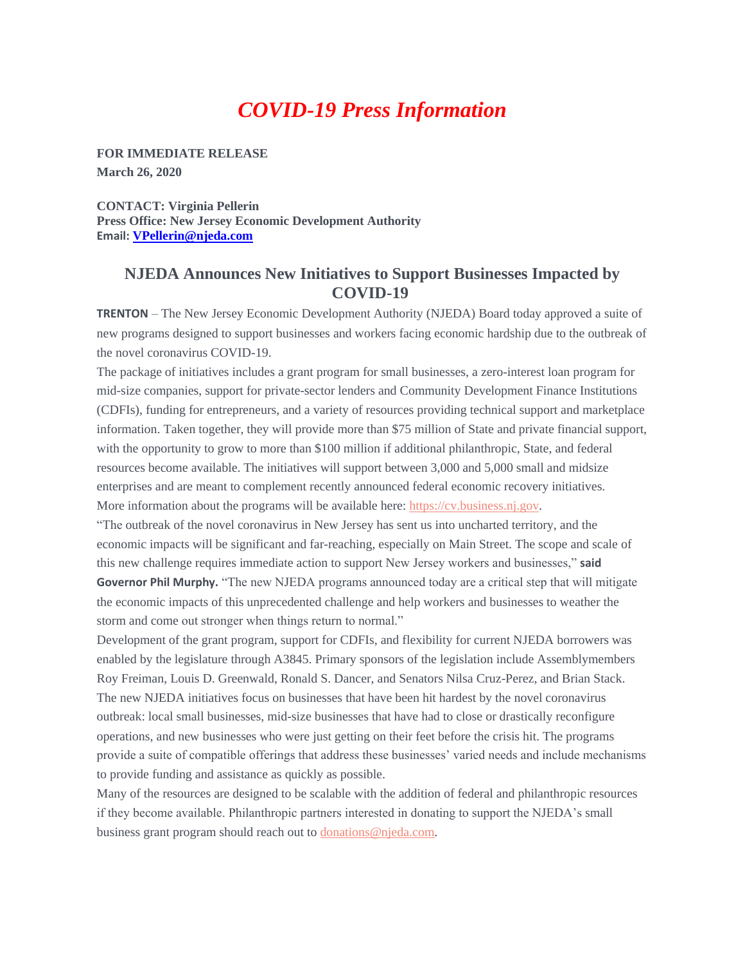## *COVID-19 Press Information*

**FOR IMMEDIATE RELEASE March 26, 2020** 

**CONTACT: Virginia Pellerin Press Office: New Jersey Economic Development Authority Email: [VPellerin@njeda.com](mailto:VPellerin@njeda.com)**

## **NJEDA Announces New Initiatives to Support Businesses Impacted by COVID-19**

**TRENTON** – The New Jersey Economic Development Authority (NJEDA) Board today approved a suite of new programs designed to support businesses and workers facing economic hardship due to the outbreak of the novel coronavirus COVID-19.

The package of initiatives includes a grant program for small businesses, a zero-interest loan program for mid-size companies, support for private-sector lenders and Community Development Finance Institutions (CDFIs), funding for entrepreneurs, and a variety of resources providing technical support and marketplace information. Taken together, they will provide more than \$75 million of State and private financial support, with the opportunity to grow to more than \$100 million if additional philanthropic, State, and federal resources become available. The initiatives will support between 3,000 and 5,000 small and midsize enterprises and are meant to complement recently announced federal economic recovery initiatives. More information about the programs will be available here: [https://cv.business.nj.gov.](https://urldefense.com/v3/__https:/t.e2ma.net/click/7q231c/nvocwdl/r2ktdj__;!!J30X0ZrnC1oQtbA!dmsCcQaNgqeeN-B6vaV-VU7OToDbuwZHv2q0-4ZMQwNyYD4W0vWed9_BPi6HAG3kVOM$)

"The outbreak of the novel coronavirus in New Jersey has sent us into uncharted territory, and the economic impacts will be significant and far-reaching, especially on Main Street. The scope and scale of this new challenge requires immediate action to support New Jersey workers and businesses," **said Governor Phil Murphy.** "The new NJEDA programs announced today are a critical step that will mitigate the economic impacts of this unprecedented challenge and help workers and businesses to weather the storm and come out stronger when things return to normal."

Development of the grant program, support for CDFIs, and flexibility for current NJEDA borrowers was enabled by the legislature through A3845. Primary sponsors of the legislation include Assemblymembers Roy Freiman, Louis D. Greenwald, Ronald S. Dancer, and Senators Nilsa Cruz-Perez, and Brian Stack. The new NJEDA initiatives focus on businesses that have been hit hardest by the novel coronavirus outbreak: local small businesses, mid-size businesses that have had to close or drastically reconfigure operations, and new businesses who were just getting on their feet before the crisis hit. The programs provide a suite of compatible offerings that address these businesses' varied needs and include mechanisms to provide funding and assistance as quickly as possible.

Many of the resources are designed to be scalable with the addition of federal and philanthropic resources if they become available. Philanthropic partners interested in donating to support the NJEDA's small business grant program should reach out to [donations@njeda.com.](mailto:donations@njeda.com)